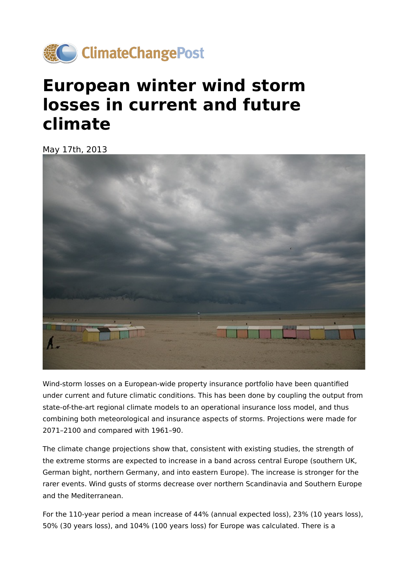

## **European winter wind storm losses in current and future climate**

May 17th, 2013



Wind-storm losses on a European-wide property insurance portfolio have been quantified under current and future climatic conditions. This has been done by coupling the output from state-of-the-art regional climate models to an operational insurance loss model, and thus combining both meteorological and insurance aspects of storms. Projections were made for 2071–2100 and compared with 1961–90.

The climate change projections show that, consistent with existing studies, the strength of the extreme storms are expected to increase in a band across central Europe (southern UK, German bight, northern Germany, and into eastern Europe). The increase is stronger for the rarer events. Wind gusts of storms decrease over northern Scandinavia and Southern Europe and the Mediterranean.

For the 110-year period a mean increase of 44% (annual expected loss), 23% (10 years loss), 50% (30 years loss), and 104% (100 years loss) for Europe was calculated. There is a